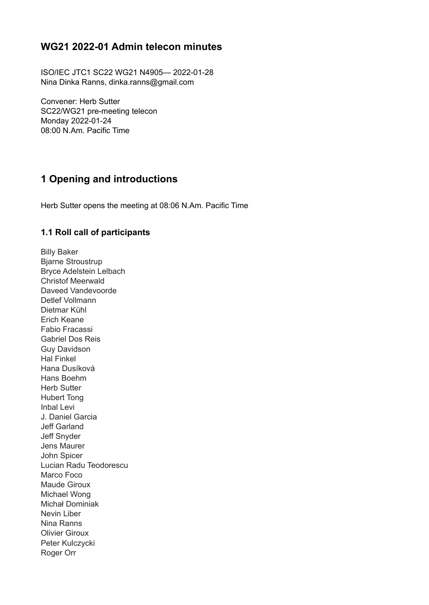## **WG21 2022-01 Admin telecon minutes**

ISO/IEC JTC1 SC22 WG21 N4905— 2022-01-28 Nina Dinka Ranns, dinka.ranns@gmail.com

Convener: Herb Sutter SC22/WG21 pre-meeting telecon Monday 2022-01-24 08:00 N.Am. Pacific Time

## **1 Opening and introductions**

Herb Sutter opens the meeting at 08:06 N.Am. Pacific Time

#### **1.1 Roll call of participants**

Billy Baker Bjarne Stroustrup Bryce Adelstein Lelbach Christof Meerwald Daveed Vandevoorde Detlef Vollmann Dietmar Kühl Erich Keane Fabio Fracassi Gabriel Dos Reis Guy Davidson Hal Finkel Hana Dusíková Hans Boehm Herb Sutter Hubert Tong Inbal Levi J. Daniel Garcia Jeff Garland Jeff Snyder Jens Maurer John Spicer Lucian Radu Teodorescu Marco Foco Maude Giroux Michael Wong Michał Dominiak Nevin Liber Nina Ranns Olivier Giroux Peter Kulczycki Roger Orr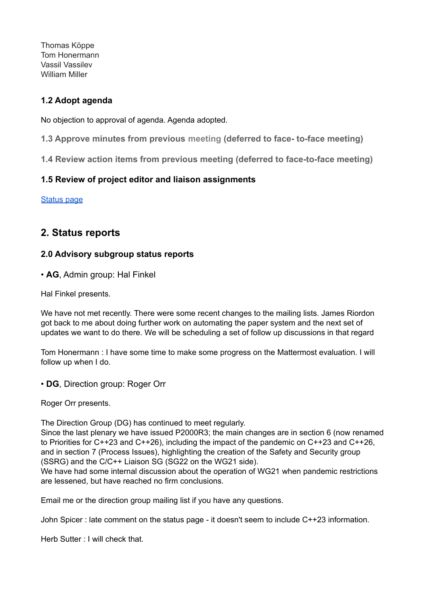Thomas Köppe Tom Honermann Vassil Vassilev William Miller

#### **1.2 Adopt agenda**

No objection to approval of agenda. Agenda adopted.

**1.3 Approve minutes from previous meeting (deferred to face- to-face meeting)**

**1.4 Review action items from previous meeting (deferred to face-to-face meeting)**

#### **1.5 Review of project editor and liaison assignments**

[Status](http://isocpp.org/std/status) page

## **2. Status reports**

#### **2.0 Advisory subgroup status reports**

• **AG**, Admin group: Hal Finkel

Hal Finkel presents.

We have not met recently. There were some recent changes to the mailing lists. James Riordon got back to me about doing further work on automating the paper system and the next set of updates we want to do there. We will be scheduling a set of follow up discussions in that regard

Tom Honermann : I have some time to make some progress on the Mattermost evaluation. I will follow up when I do.

• **DG**, Direction group: Roger Orr

Roger Orr presents.

The Direction Group (DG) has continued to meet regularly.

Since the last plenary we have issued P2000R3; the main changes are in section 6 (now renamed to Priorities for C++23 and C++26), including the impact of the pandemic on C++23 and C++26, and in section 7 (Process Issues), highlighting the creation of the Safety and Security group (SSRG) and the C/C++ Liaison SG (SG22 on the WG21 side).

We have had some internal discussion about the operation of WG21 when pandemic restrictions are lessened, but have reached no firm conclusions.

Email me or the direction group mailing list if you have any questions.

John Spicer : late comment on the status page - it doesn't seem to include C++23 information.

Herb Sutter : I will check that.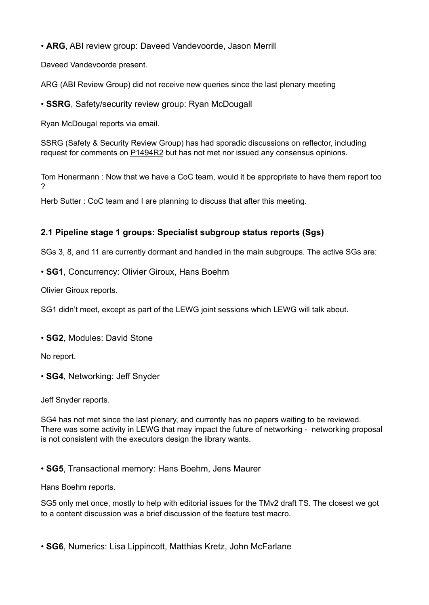• **ARG**, ABI review group: Daveed Vandevoorde, Jason Merrill

Daveed Vandevoorde present.

ARG (ABI Review Group) did not receive new queries since the last plenary meeting

• **SSRG**, Safety/security review group: Ryan McDougall

Ryan McDougal reports via email.

SSRG (Safety & Security Review Group) has had sporadic discussions on reflector, including request for comments on [P1494R2](http://www.open-std.org/jtc1/sc22/wg21/docs/papers/2021/p1494r2.html) but has not met nor issued any consensus opinions.

Tom Honermann : Now that we have a CoC team, would it be appropriate to have them report too ?

Herb Sutter : CoC team and I are planning to discuss that after this meeting.

#### **2.1 Pipeline stage 1 groups: Specialist subgroup status reports (Sgs)**

SGs 3, 8, and 11 are currently dormant and handled in the main subgroups. The active SGs are:

• **SG1**, Concurrency: Olivier Giroux, Hans Boehm

Olivier Giroux reports.

SG1 didn't meet, except as part of the LEWG joint sessions which LEWG will talk about.

• **SG2**, Modules: David Stone

No report.

• **SG4**, Networking: Jeff Snyder

Jeff Snyder reports.

SG4 has not met since the last plenary, and currently has no papers waiting to be reviewed. There was some activity in LEWG that may impact the future of networking - networking proposal is not consistent with the executors design the library wants.

• **SG5**, Transactional memory: Hans Boehm, Jens Maurer

Hans Boehm reports.

SG5 only met once, mostly to help with editorial issues for the TMv2 draft TS. The closest we got to a content discussion was a brief discussion of the feature test macro.

• **SG6**, Numerics: Lisa Lippincott, Matthias Kretz, John McFarlane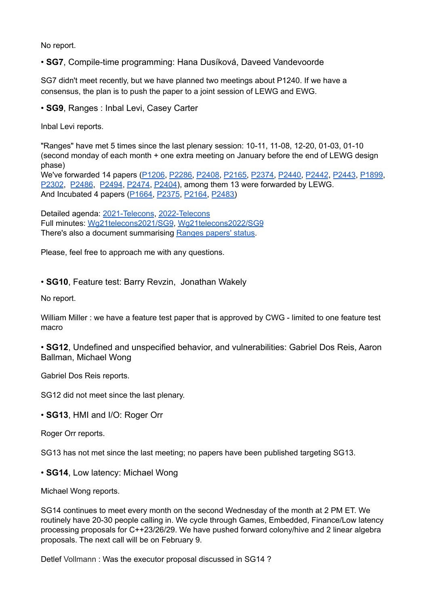No report.

• **SG7**, Compile-time programming: Hana Dusíková, Daveed Vandevoorde

SG7 didn't meet recently, but we have planned two meetings about P1240. If we have a consensus, the plan is to push the paper to a joint session of LEWG and EWG.

• **SG9**, Ranges : Inbal Levi, Casey Carter

Inbal Levi reports.

"Ranges" have met 5 times since the last plenary session: 10-11, 11-08, 12-20, 01-03, 01-10 (second monday of each month + one extra meeting on January before the end of LEWG design phase)

We've forwarded 14 papers [\(P1206](https://wg21.link/p1206), [P2286,](https://wg21.link/P2286) [P2408,](https://wg21.link/P2408) [P2165,](https://wg21.link/P2165) [P2374,](https://wg21.link/P2374) [P2440,](http://wg21.link/p2440) [P2442](http://wg21.link/p2442), [P2443](http://wg21.link/p2443), [P1899](https://wg21.link/P1899), [P2302](https://wg21.link/P2302), [P2486](https://wg21.link/P2486), [P2494](https://wg21.link/P2494), [P2474](https://wg21.link/P2474), [P2404](https://wg21.link/P2404)), among them 13 were forwarded by LEWG. And Incubated 4 papers [\(P1664,](https://wg21.link/P1664) [P2375,](https://wg21.link/P2375) [P2164,](https://wg21.link/P2164) [P2483\)](https://wg21.link/p2483)

Detailed agenda: [2021-Telecons](https://github.com/cplusplus/SG9/blob/main/2021-Telecons.md), [2022-Telecons](https://github.com/cplusplus/SG9/blob/main/2022-Telecons.md) Full minutes: [Wg21telecons2021/SG9](https://wiki.edg.com/bin/view/Wg21telecons2021/SG9), [Wg21telecons2022/SG9](https://wiki.edg.com/bin/view/Wg21telecons2022/SG9) There's also a document summarising [Ranges](https://docs.google.com/spreadsheets/d/15QsTFlFN8019ZCkjaKKxHCIKSosI3El4ETgarD0Y7_E/view?usp=sharing) papers' status.

Please, feel free to approach me with any questions.

• **SG10**, Feature test: Barry Revzin, Jonathan Wakely

No report.

William Miller : we have a feature test paper that is approved by CWG - limited to one feature test macro

• **SG12**, Undefined and unspecified behavior, and vulnerabilities: Gabriel Dos Reis, Aaron Ballman, Michael Wong

Gabriel Dos Reis reports.

SG12 did not meet since the last plenary.

• **SG13**, HMI and I/O: Roger Orr

Roger Orr reports.

SG13 has not met since the last meeting; no papers have been published targeting SG13.

• **SG14**, Low latency: Michael Wong

Michael Wong reports.

SG14 continues to meet every month on the second Wednesday of the month at 2 PM ET. We routinely have 20-30 people calling in. We cycle through Games, Embedded, Finance/Low latency processing proposals for C++23/26/29. We have pushed forward colony/hive and 2 linear algebra proposals. The next call will be on February 9.

Detlef Vollmann : Was the executor proposal discussed in SG14 ?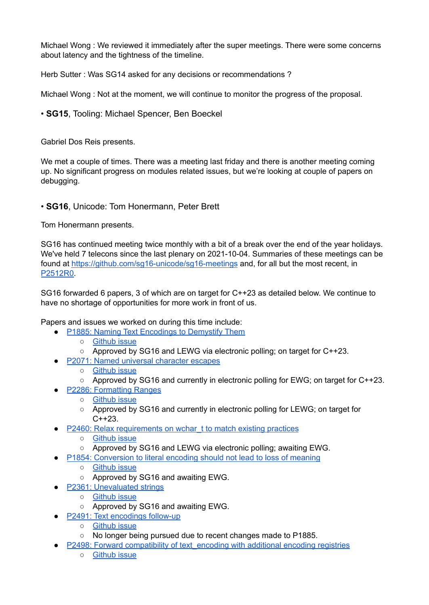Michael Wong : We reviewed it immediately after the super meetings. There were some concerns about latency and the tightness of the timeline.

Herb Sutter : Was SG14 asked for any decisions or recommendations?

Michael Wong : Not at the moment, we will continue to monitor the progress of the proposal.

• **SG15**, Tooling: Michael Spencer, Ben Boeckel

Gabriel Dos Reis presents.

We met a couple of times. There was a meeting last friday and there is another meeting coming up. No significant progress on modules related issues, but we're looking at couple of papers on debugging.

#### • **SG16**, Unicode: Tom Honermann, Peter Brett

Tom Honermann presents.

SG16 has continued meeting twice monthly with a bit of a break over the end of the year holidays. We've held 7 telecons since the last plenary on 2021-10-04. Summaries of these meetings can be found at <https://github.com/sg16-unicode/sg16-meetings> and, for all but the most recent, in [P2512R0.](https://wg21.link/p2512r0)

SG16 forwarded 6 papers, 3 of which are on target for C++23 as detailed below. We continue to have no shortage of opportunities for more work in front of us.

Papers and issues we worked on during this time include:

- P1885: Naming Text [Encodings](https://wg21.link/p1885) to Demystify Them
	- [Github](https://github.com/cplusplus/papers/issues/634) issue
	- Approved by SG16 and LEWG via electronic polling; on target for C++23.
- P2071: Named universal [character](https://wg21.link/p2071) escapes
	- [Github](https://github.com/cplusplus/papers/issues/798) issue
	- Approved by SG16 and currently in electronic polling for EWG; on target for C++23.
	- **P2286: [Formatting](https://wg21.link/p2286) Ranges** 
		- [Github](https://github.com/cplusplus/papers/issues/977) issue
		- Approved by SG16 and currently in electronic polling for LEWG; on target for  $C++23.$
- P2460: Relax [requirements](https://wg21.link/p2460) on wchar\_t to match existing practices
	- [Github](https://github.com/cplusplus/papers/issues/1122) issue
	- Approved by SG16 and LEWG via electronic polling; awaiting EWG.
- P1854: [Conversion](https://wg21.link/p1854) to literal encoding should not lead to loss of meaning
	- [Github](https://github.com/cplusplus/papers/issues/608) issue
	- Approved by SG16 and awaiting EWG.
- **P2361: [Unevaluated](https://wg21.link/p2361) strings** 
	- [Github](https://github.com/cplusplus/papers/issues/1035) issue
	- Approved by SG16 and awaiting EWG.
- P2491: Text [encodings](https://wg21.link/p2491) follow-up
	- [Github](https://github.com/cplusplus/papers/issues/1147) issue
	- No longer being pursued due to recent changes made to P1885.
- P2498: Forward compatibility of text encoding with additional encoding registries
	- [Github](https://github.com/cplusplus/papers/issues/1157) issue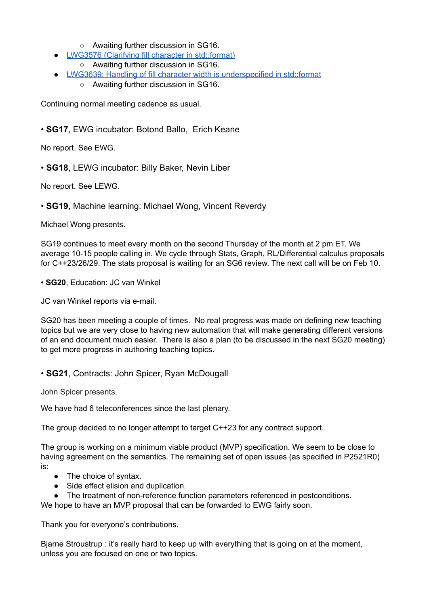- Awaiting further discussion in SG16.
- LWG3576 (Clarifying fill character in [std::format\)](https://wg21.link/lwg3576)
	- Awaiting further discussion in SG16.
- LWG3639: Handling of fill character width is [underspecified](https://wg21.link/lwg3639) in std::format ○ Awaiting further discussion in SG16.

Continuing normal meeting cadence as usual.

• **SG17**, EWG incubator: Botond Ballo, Erich Keane

No report. See EWG.

• **SG18**, LEWG incubator: Billy Baker, Nevin Liber

No report. See LEWG.

• **SG19**, Machine learning: Michael Wong, Vincent Reverdy

Michael Wong presents.

SG19 continues to meet every month on the second Thursday of the month at 2 pm ET. We average 10-15 people calling in. We cycle through Stats, Graph, RL/Differential calculus proposals for C++23/26/29. The stats proposal is waiting for an SG6 review. The next call will be on Feb 10.

• **SG20**, Education: JC van Winkel

JC van Winkel reports via e-mail.

SG20 has been meeting a couple of times. No real progress was made on defining new teaching topics but we are very close to having new automation that will make generating different versions of an end document much easier. There is also a plan (to be discussed in the next SG20 meeting) to get more progress in authoring teaching topics.

• **SG21**, Contracts: John Spicer, Ryan McDougall

John Spicer presents.

We have had 6 teleconferences since the last plenary.

The group decided to no longer attempt to target C++23 for any contract support.

The group is working on a minimum viable product (MVP) specification. We seem to be close to having agreement on the semantics. The remaining set of open issues (as specified in P2521R0) is:

- The choice of syntax.
- Side effect elision and duplication.
- The treatment of non-reference function parameters referenced in postconditions.

We hope to have an MVP proposal that can be forwarded to EWG fairly soon.

Thank you for everyone's contributions.

Bjarne Stroustrup : it's really hard to keep up with everything that is going on at the moment, unless you are focused on one or two topics.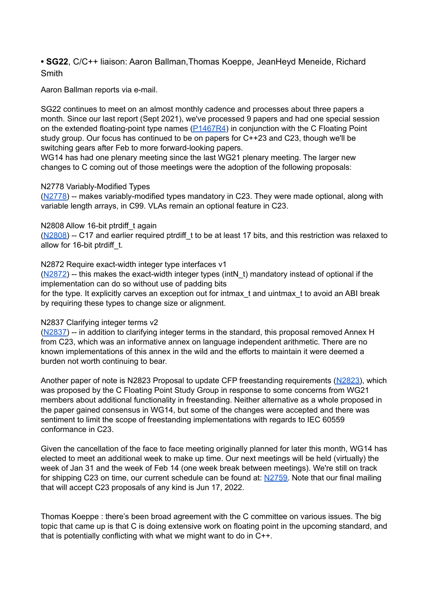**• SG22**, C/C++ liaison: Aaron Ballman,Thomas Koeppe, JeanHeyd Meneide, Richard **Smith** 

Aaron Ballman reports via e-mail.

SG22 continues to meet on an almost monthly cadence and processes about three papers a month. Since our last report (Sept 2021), we've processed 9 papers and had one special session on the extended floating-point type names [\(P1467R4\)](https://wg21.link/p1467r4) in conjunction with the C Floating Point study group. Our focus has continued to be on papers for C++23 and C23, though we'll be switching gears after Feb to more forward-looking papers.

WG14 has had one plenary meeting since the last WG21 plenary meeting. The larger new changes to C coming out of those meetings were the adoption of the following proposals:

#### N2778 Variably-Modified Types

[\(N2778\)](http://www.open-std.org/jtc1/sc22/wg14/www/docs/n2778.pdf) -- makes variably-modified types mandatory in C23. They were made optional, along with variable length arrays, in C99. VLAs remain an optional feature in C23.

#### N2808 Allow 16-bit ptrdiff t again

[\(N2808\)](http://www.open-std.org/jtc1/sc22/wg14/www/docs/n2808.htm) -- C17 and earlier required ptrdiff t to be at least 17 bits, and this restriction was relaxed to allow for 16-bit ptrdiff t.

#### N2872 Require exact-width integer type interfaces v1

 $(N2872)$  -- this makes the exact-width integer types (intN t) mandatory instead of optional if the implementation can do so without use of padding bits

for the type. It explicitly carves an exception out for intmax t and uintmax t to avoid an ABI break by requiring these types to change size or alignment.

#### N2837 Clarifying integer terms v2

[\(N2837\)](http://www.open-std.org/jtc1/sc22/wg14/www/docs/n2837.pdf) -- in addition to clarifying integer terms in the standard, this proposal removed Annex H from C23, which was an informative annex on language independent arithmetic. There are no known implementations of this annex in the wild and the efforts to maintain it were deemed a burden not worth continuing to bear.

Another paper of note is N2823 Proposal to update CFP freestanding requirements [\(N2823\)](http://www.open-std.org/jtc1/sc22/wg14/www/docs/n2823.pdf), which was proposed by the C Floating Point Study Group in response to some concerns from WG21 members about additional functionality in freestanding. Neither alternative as a whole proposed in the paper gained consensus in WG14, but some of the changes were accepted and there was sentiment to limit the scope of freestanding implementations with regards to IEC 60559 conformance in C23.

Given the cancellation of the face to face meeting originally planned for later this month, WG14 has elected to meet an additional week to make up time. Our next meetings will be held (virtually) the week of Jan 31 and the week of Feb 14 (one week break between meetings). We're still on track for shipping C23 on time, our current schedule can be found at: [N2759.](http://www.open-std.org/jtc1/sc22/wg14/www/docs/n2759.pdf) Note that our final mailing that will accept C23 proposals of any kind is Jun 17, 2022.

Thomas Koeppe : there's been broad agreement with the C committee on various issues. The big topic that came up is that C is doing extensive work on floating point in the upcoming standard, and that is potentially conflicting with what we might want to do in C++.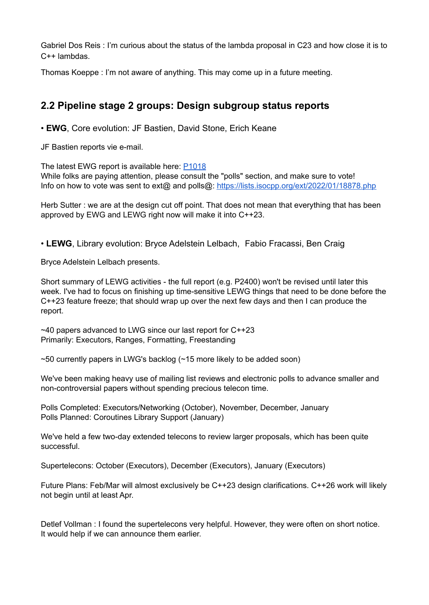Gabriel Dos Reis : I'm curious about the status of the lambda proposal in C23 and how close it is to C++ lambdas.

Thomas Koeppe : I'm not aware of anything. This may come up in a future meeting.

## **2.2 Pipeline stage 2 groups: Design subgroup status reports**

• **EWG**, Core evolution: JF Bastien, David Stone, Erich Keane

JF Bastien reports vie e-mail.

The latest EWG report is available here: [P1018](https://wg21.link/p1018r14)

While folks are paying attention, please consult the "polls" section, and make sure to vote! Info on how to vote was sent to ext@ and polls@: <https://lists.isocpp.org/ext/2022/01/18878.php>

Herb Sutter : we are at the design cut off point. That does not mean that everything that has been approved by EWG and LEWG right now will make it into C++23.

• **LEWG**, Library evolution: Bryce Adelstein Lelbach, Fabio Fracassi, Ben Craig

Bryce Adelstein Lelbach presents.

Short summary of LEWG activities - the full report (e.g. P2400) won't be revised until later this week. I've had to focus on finishing up time-sensitive LEWG things that need to be done before the C++23 feature freeze; that should wrap up over the next few days and then I can produce the report.

~40 papers advanced to LWG since our last report for C++23 Primarily: Executors, Ranges, Formatting, Freestanding

 $\sim$ 50 currently papers in LWG's backlog ( $\sim$ 15 more likely to be added soon)

We've been making heavy use of mailing list reviews and electronic polls to advance smaller and non-controversial papers without spending precious telecon time.

Polls Completed: Executors/Networking (October), November, December, January Polls Planned: Coroutines Library Support (January)

We've held a few two-day extended telecons to review larger proposals, which has been quite successful.

Supertelecons: October (Executors), December (Executors), January (Executors)

Future Plans: Feb/Mar will almost exclusively be C++23 design clarifications. C++26 work will likely not begin until at least Apr.

Detlef Vollman : I found the supertelecons very helpful. However, they were often on short notice. It would help if we can announce them earlier.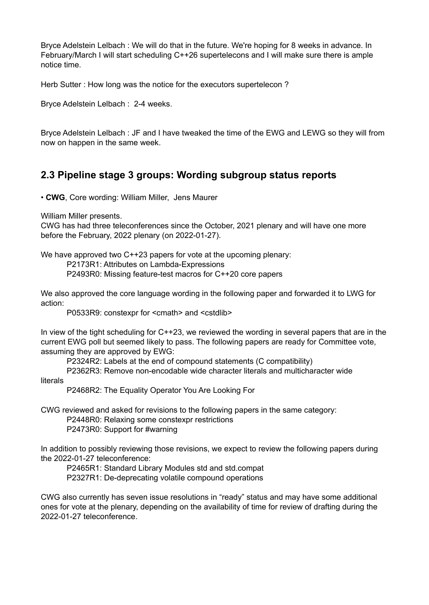Bryce Adelstein Lelbach : We will do that in the future. We're hoping for 8 weeks in advance. In February/March I will start scheduling C++26 supertelecons and I will make sure there is ample notice time.

Herb Sutter : How long was the notice for the executors supertelecon ?

Bryce Adelstein Lelbach : 2-4 weeks.

Bryce Adelstein Lelbach : JF and I have tweaked the time of the EWG and LEWG so they will from now on happen in the same week.

## **2.3 Pipeline stage 3 groups: Wording subgroup status reports**

• **CWG**, Core wording: William Miller, Jens Maurer

William Miller presents.

CWG has had three teleconferences since the October, 2021 plenary and will have one more before the February, 2022 plenary (on 2022-01-27).

We have approved two C++23 papers for vote at the upcoming plenary:

P2173R1: Attributes on Lambda-Expressions

P2493R0: Missing feature-test macros for C++20 core papers

We also approved the core language wording in the following paper and forwarded it to LWG for action:

P0533R9: constexpr for <cmath> and <cstdlib>

In view of the tight scheduling for C++23, we reviewed the wording in several papers that are in the current EWG poll but seemed likely to pass. The following papers are ready for Committee vote, assuming they are approved by EWG:

P2324R2: Labels at the end of compound statements (C compatibility)

P2362R3: Remove non-encodable wide character literals and multicharacter wide

literals

P2468R2: The Equality Operator You Are Looking For

CWG reviewed and asked for revisions to the following papers in the same category:

P2448R0: Relaxing some constexpr restrictions

P2473R0: Support for #warning

In addition to possibly reviewing those revisions, we expect to review the following papers during the 2022-01-27 teleconference:

P2465R1: Standard Library Modules std and std.compat

P2327R1: De-deprecating volatile compound operations

CWG also currently has seven issue resolutions in "ready" status and may have some additional ones for vote at the plenary, depending on the availability of time for review of drafting during the 2022-01-27 teleconference.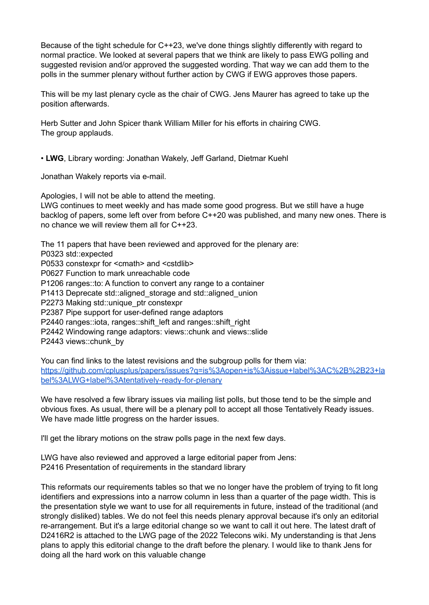Because of the tight schedule for C++23, we've done things slightly differently with regard to normal practice. We looked at several papers that we think are likely to pass EWG polling and suggested revision and/or approved the suggested wording. That way we can add them to the polls in the summer plenary without further action by CWG if EWG approves those papers.

This will be my last plenary cycle as the chair of CWG. Jens Maurer has agreed to take up the position afterwards.

Herb Sutter and John Spicer thank William Miller for his efforts in chairing CWG. The group applauds.

• **LWG**, Library wording: Jonathan Wakely, Jeff Garland, Dietmar Kuehl

Jonathan Wakely reports via e-mail.

Apologies, I will not be able to attend the meeting. LWG continues to meet weekly and has made some good progress. But we still have a huge backlog of papers, some left over from before C++20 was published, and many new ones. There is no chance we will review them all for C++23.

The 11 papers that have been reviewed and approved for the plenary are: P0323 std::expected P0533 constexpr for <cmath> and <cstdlib> P0627 Function to mark unreachable code P1206 ranges::to: A function to convert any range to a container P1413 Deprecate std::aligned\_storage and std::aligned\_union P2273 Making std::unique\_ptr constexpr P2387 Pipe support for user-defined range adaptors P2440 ranges::iota, ranges::shift\_left and ranges::shift\_right P2442 Windowing range adaptors: views::chunk and views::slide P2443 views::chunk\_by

You can find links to the latest revisions and the subgroup polls for them via: [https://github.com/cplusplus/papers/issues?q=is%3Aopen+is%3Aissue+label%3AC%2B%2B23+la](https://github.com/cplusplus/papers/issues?q=is%3Aopen+is%3Aissue+label%3AC%2B%2B23+label%3ALWG+label%3Atentatively-ready-for-plenary) [bel%3ALWG+label%3Atentatively-ready-for-plenary](https://github.com/cplusplus/papers/issues?q=is%3Aopen+is%3Aissue+label%3AC%2B%2B23+label%3ALWG+label%3Atentatively-ready-for-plenary)

We have resolved a few library issues via mailing list polls, but those tend to be the simple and obvious fixes. As usual, there will be a plenary poll to accept all those Tentatively Ready issues. We have made little progress on the harder issues.

I'll get the library motions on the straw polls page in the next few days.

LWG have also reviewed and approved a large editorial paper from Jens: P2416 Presentation of requirements in the standard library

This reformats our requirements tables so that we no longer have the problem of trying to fit long identifiers and expressions into a narrow column in less than a quarter of the page width. This is the presentation style we want to use for all requirements in future, instead of the traditional (and strongly disliked) tables. We do not feel this needs plenary approval because it's only an editorial re-arrangement. But it's a large editorial change so we want to call it out here. The latest draft of D2416R2 is attached to the LWG page of the 2022 Telecons wiki. My understanding is that Jens plans to apply this editorial change to the draft before the plenary. I would like to thank Jens for doing all the hard work on this valuable change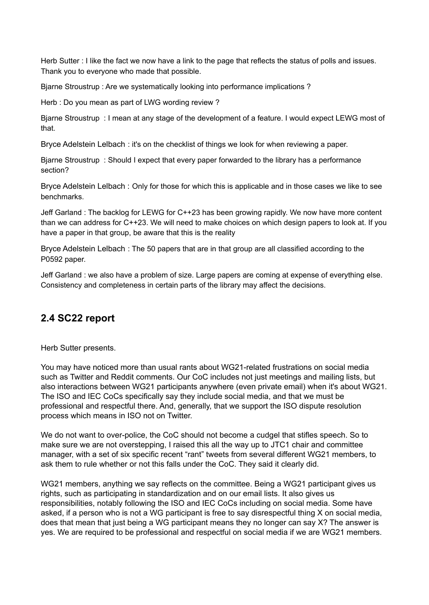Herb Sutter : I like the fact we now have a link to the page that reflects the status of polls and issues. Thank you to everyone who made that possible.

Bjarne Stroustrup : Are we systematically looking into performance implications ?

Herb : Do you mean as part of LWG wording review ?

Bjarne Stroustrup : I mean at any stage of the development of a feature. I would expect LEWG most of that.

Bryce Adelstein Lelbach : it's on the checklist of things we look for when reviewing a paper.

Bjarne Stroustrup : Should I expect that every paper forwarded to the library has a performance section?

Bryce Adelstein Lelbach : Only for those for which this is applicable and in those cases we like to see benchmarks.

Jeff Garland : The backlog for LEWG for C++23 has been growing rapidly. We now have more content than we can address for C++23. We will need to make choices on which design papers to look at. If you have a paper in that group, be aware that this is the reality

Bryce Adelstein Lelbach : The 50 papers that are in that group are all classified according to the P0592 paper.

Jeff Garland : we also have a problem of size. Large papers are coming at expense of everything else. Consistency and completeness in certain parts of the library may affect the decisions.

### **2.4 SC22 report**

Herb Sutter presents.

You may have noticed more than usual rants about WG21-related frustrations on social media such as Twitter and Reddit comments. Our CoC includes not just meetings and mailing lists, but also interactions between WG21 participants anywhere (even private email) when it's about WG21. The ISO and IEC CoCs specifically say they include social media, and that we must be professional and respectful there. And, generally, that we support the ISO dispute resolution process which means in ISO not on Twitter.

We do not want to over-police, the CoC should not become a cudgel that stifles speech. So to make sure we are not overstepping, I raised this all the way up to JTC1 chair and committee manager, with a set of six specific recent "rant" tweets from several different WG21 members, to ask them to rule whether or not this falls under the CoC. They said it clearly did.

WG21 members, anything we say reflects on the committee. Being a WG21 participant gives us rights, such as participating in standardization and on our email lists. It also gives us responsibilities, notably following the ISO and IEC CoCs including on social media. Some have asked, if a person who is not a WG participant is free to say disrespectful thing X on social media, does that mean that just being a WG participant means they no longer can say X? The answer is yes. We are required to be professional and respectful on social media if we are WG21 members.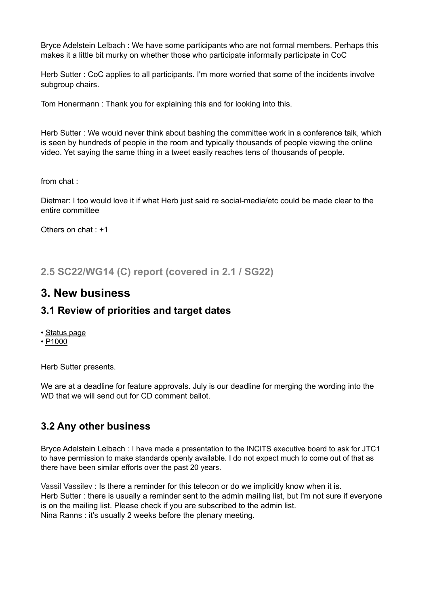Bryce Adelstein Lelbach : We have some participants who are not formal members. Perhaps this makes it a little bit murky on whether those who participate informally participate in CoC

Herb Sutter : CoC applies to all participants. I'm more worried that some of the incidents involve subgroup chairs.

Tom Honermann : Thank you for explaining this and for looking into this.

Herb Sutter : We would never think about bashing the committee work in a conference talk, which is seen by hundreds of people in the room and typically thousands of people viewing the online video. Yet saying the same thing in a tweet easily reaches tens of thousands of people.

from chat :

Dietmar: I too would love it if what Herb just said re social-media/etc could be made clear to the entire committee

Others on chat : +1

**2.5 SC22/WG14 (C) report (covered in 2.1 / SG22)**

## **3. New business**

### **3.1 Review of priorities and target dates**

- [Status page](https://isocpp.org/std/status)
- [P1000](http://www.open-std.org/jtc1/sc22/wg21/docs/papers/2020/p1000r4.pdf)

Herb Sutter presents.

We are at a deadline for feature approvals. July is our deadline for merging the wording into the WD that we will send out for CD comment ballot.

## **3.2 Any other business**

Bryce Adelstein Lelbach : I have made a presentation to the INCITS executive board to ask for JTC1 to have permission to make standards openly available. I do not expect much to come out of that as there have been similar efforts over the past 20 years.

Vassil Vassilev : Is there a reminder for this telecon or do we implicitly know when it is. Herb Sutter : there is usually a reminder sent to the admin mailing list, but I'm not sure if everyone is on the mailing list. Please check if you are subscribed to the admin list. Nina Ranns : it's usually 2 weeks before the plenary meeting.